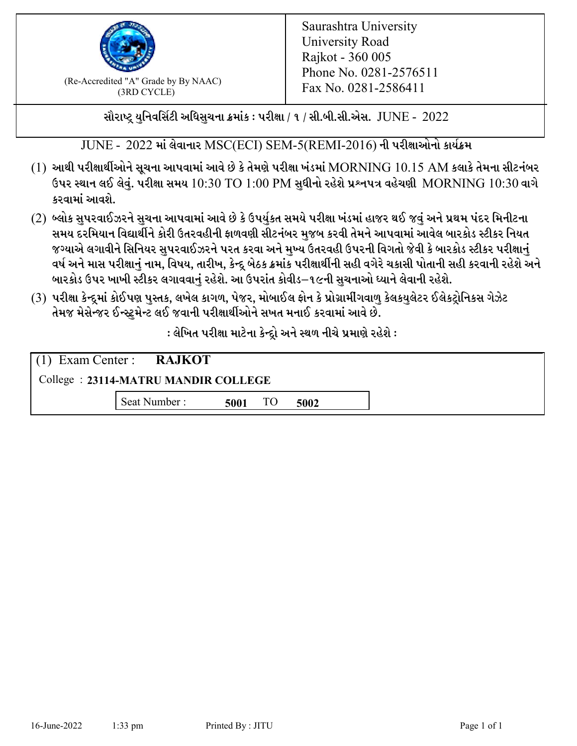

 $F_{\text{R}}$  (Re-Accredited "A" Grade by By NAAC)<br>(3PD CVCLE)<br> $F_{\text{R}}$  No. 0281-2586411 (3RD CYCLE)

સૌરાષ્ટ્ર યુનિવર્સિટી અધિસુચના ક્રમાંક : પરીક્ષા / ૧ / સી.બી.સી.એસ.  $\,$  JUNE -  $\,2022$ 

 $JUNE - 2022$  માં લેવાનાર  $MSC(ECI)$   $SEM$ -5( $REMI$ -2016) ની પરીક્ષાઓનો કાર્યક્રમ

- $(1)$  આથી પરીક્ષાર્થીઓને સૂચના આપવામાં આવે છે કે તેમણે પરીક્ષા ખંડમાં  $\operatorname{MORNING}$   $10.15$   $\operatorname{AM}$  કલાકે તેમના સીટનંબર ઉપર સ્થાન લઈ લેવું. પરીક્ષા સમય  $10:30 \text{ TO } 1:00 \text{ PM}$  સુધીનો રહેશે પ્રશ્નપત્ર વહેચણી  $\text{MORNING } 10:30$  વાગે કરવામાં આવશે.
- (2) બ્લોક સુપરવાઈઝરને સુચના આપવામાં આવે છે કે ઉપર્યુકત સમયે પરીક્ષા ખંડમાં હાજર થઈ જવું અને પ્રથમ પંદર મિનીટના સમય દરમિયાન વિદ્યાર્થીને કોરી ઉતરવહીની ફાળવણી સીટનંબર મજબ કરવી તેમને આપવામાં આવેલ બારકોડ સ્ટીકર નિયત જગ્યાએ લગાવીને સિનિયર સુપરવાઈઝરને પરત કરવા અને મુખ્ય ઉતરવહી ઉપરની વિગતો જેવી કે બારકોડ સ્ટીકર પરીક્ષ<u>ાન</u>ં વર્ષ અને માસ પરીક્ષાનું નામ, વિષય, તારીખ, કેન્દ્ર બેઠક ક્રમાંક પરીક્ષાર્થીની સહી વગેરે ચકાસી પોતાની સહી કરવાની રહેશે અને બારકોડ ઉપર ખાખી સ્ટીકર લગાવવાનં રહેશે. આ ઉપરાંત કોવીડ–૧૯ની સચનાઓ ધ્યાને લેવાની રહેશે.
- (3) પરીક્ષા કેન્દ્રમાં કોઈપણ પુસ્તક, લખેલ કાગળ, પેજર, મોબાઈલ ફોન કે પ્રોગ્રામીંગવાળુ કેલકયુલેટર ઈલેકટ્રોનિકસ ગેઝેટ તેમજ મેસેન્જર ઈન્સ્ટમેન્ટ લઈ જવાની પરીક્ષાર્થીઓને સખત મનાઈ કરવામાં આવે છે.

: લેખિત પરીક્ષા માટેના કેન્દ્દો અને સ્થળ નીચે પ્રમાણે રહેશે :

|                                     | $(1)$ Exam Center : <b>RAJKOT</b> |      |  |      |  |  |
|-------------------------------------|-----------------------------------|------|--|------|--|--|
| College: 23114-MATRU MANDIR COLLEGE |                                   |      |  |      |  |  |
|                                     | Seat Number:                      | 5001 |  | 5002 |  |  |